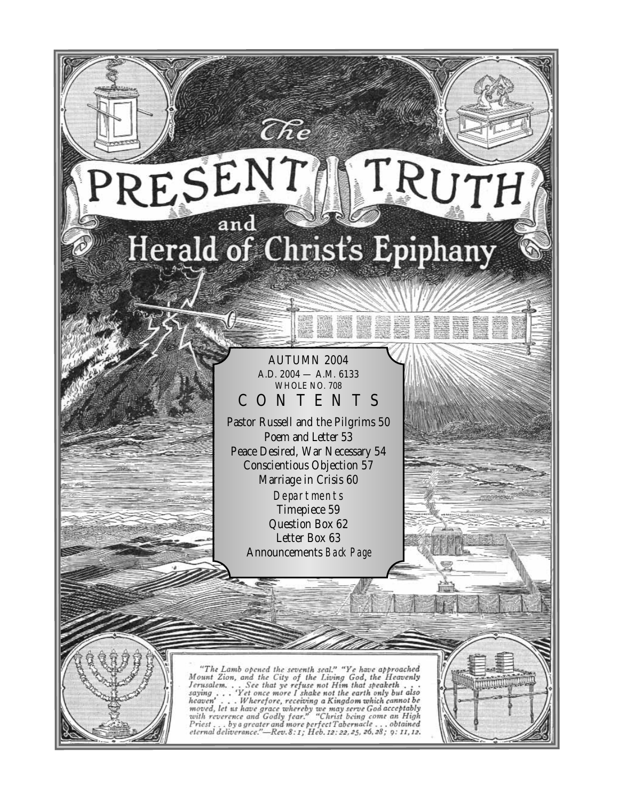# TRUTH RESENT Herald of Christ's Epiphany

The

AUTUMN 2004 A.D. 2004 — A.M. 6133 WHOLE NO. 708 CONTENTS

Pastor Russell and the Pilgrims 50 Poem and Letter 53 Peace Desired, War Necessary 54 Conscientious Objection 57 Marriage in Crisis 60 **Departments** Timepiece 59 Question Box 62 Letter Box 63 Announcements *Back Page*

"The Lamb opened the seventh seal." "Ye have approached<br>Mount Zion, and the City of the Living God, the Heavenly<br>Jerusalem... See that ye refuse not Him that speaketh...<br>saying... "Yet once more I shake not the earth only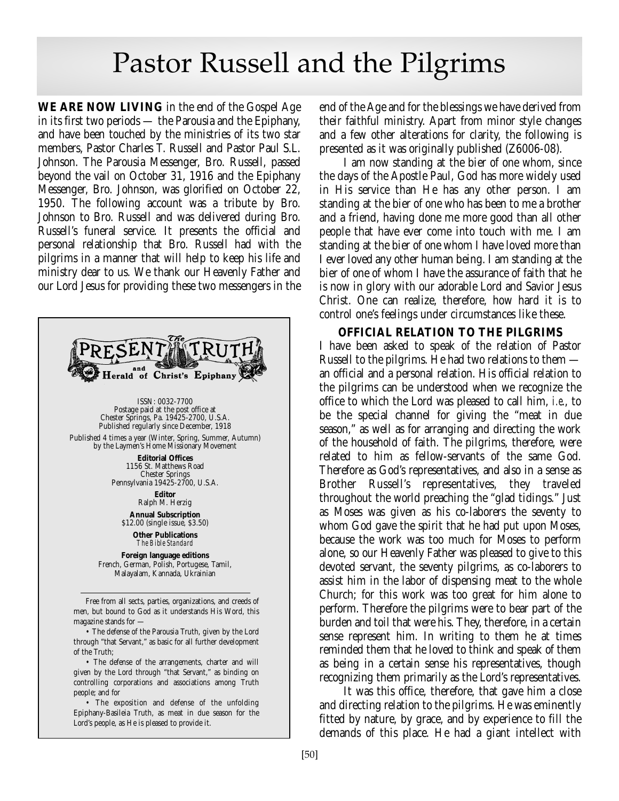# Pastor Russell and the Pilgrims

**WE ARE NOW LIVING** in the end of the Gospel Age in its first two periods — the Parousia and the Epiphany, and have been touched by the ministries of its two star members, Pastor Charles T. Russell and Pastor Paul S.L. Johnson. The Parousia Messenger, Bro. Russell, passed beyond the vail on October 31, 1916 and the Epiphany Messenger, Bro. Johnson, was glorified on October 22, 1950. The following account was a tribute by Bro. Johnson to Bro. Russell and was delivered during Bro. Russell's funeral service. It presents the official and personal relationship that Bro. Russell had with the pilgrims in a manner that will help to keep his life and ministry dear to us. We thank our Heavenly Father and our Lord Jesus for providing these two messengers in the



• The defense of the arrangements, charter and will given by the Lord through "that Servant," as binding on controlling corporations and associations among Truth people; and for

• The exposition and defense of the unfolding Epiphany-Basileia Truth, as meat in due season for the Lord's people, as He is pleased to provide it.

end of the Age and for the blessings we have derived from their faithful ministry. Apart from minor style changes and a few other alterations for clarity, the following is presented as it was originally published (Z6006-08).

I am now standing at the bier of one whom, since the days of the Apostle Paul, God has more widely used in His service than He has any other person. I am standing at the bier of one who has been to me a brother and a friend, having done me more good than all other people that have ever come into touch with me. I am standing at the bier of one whom I have loved more than I ever loved any other human being. I am standing at the bier of one of whom I have the assurance of faith that he is now in glory with our adorable Lord and Savior Jesus Christ. One can realize, therefore, how hard it is to control one's feelings under circumstances like these.

### **OFFICIAL RELATION TO THE PILGRIMS**

I have been asked to speak of the relation of Pastor Russell to the pilgrims. He had two relations to them an official and a personal relation. His official relation to the pilgrims can be understood when we recognize the office to which the Lord was pleased to call him, *i.e*., to be the special channel for giving the "meat in due season," as well as for arranging and directing the work of the household of faith. The pilgrims, therefore, were related to him as fellow-servants of the same God. Therefore as God's representatives, and also in a sense as Brother Russell's representatives, they traveled throughout the world preaching the "glad tidings." Just as Moses was given as his co-laborers the seventy to whom God gave the spirit that he had put upon Moses, because the work was too much for Moses to perform alone, so our Heavenly Father was pleased to give to this devoted servant, the seventy pilgrims, as co-laborers to assist him in the labor of dispensing meat to the whole Church; for this work was too great for him alone to perform. Therefore the pilgrims were to bear part of the burden and toil that were his. They, therefore, in a certain sense represent him. In writing to them he at times reminded them that he loved to think and speak of them as being in a certain sense his representatives, though recognizing them primarily as the Lord's representatives.

It was this office, therefore, that gave him a close and directing relation to the pilgrims. He was eminently fitted by nature, by grace, and by experience to fill the demands of this place. He had a giant intellect with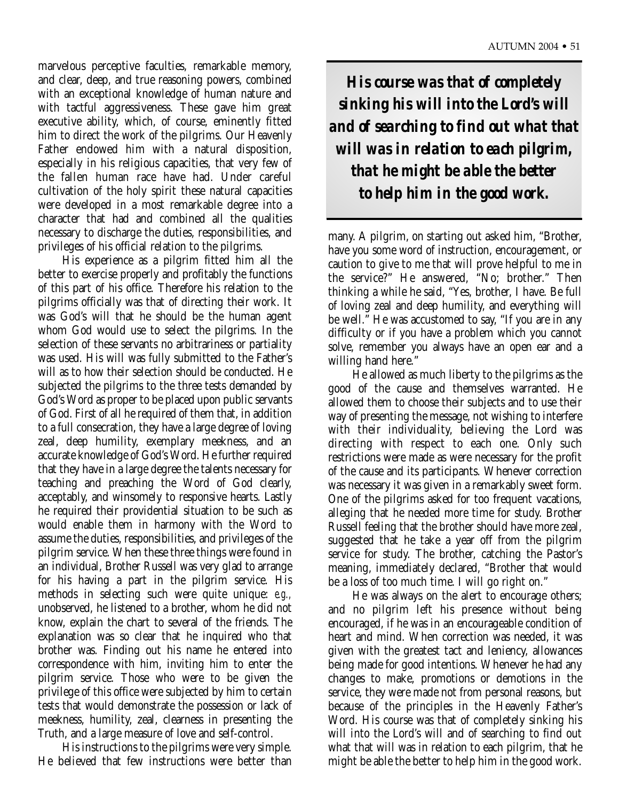marvelous perceptive faculties, remarkable memory, and clear, deep, and true reasoning powers, combined with an exceptional knowledge of human nature and with tactful aggressiveness. These gave him great executive ability, which, of course, eminently fitted him to direct the work of the pilgrims. Our Heavenly Father endowed him with a natural disposition, especially in his religious capacities, that very few of the fallen human race have had. Under careful cultivation of the holy spirit these natural capacities were developed in a most remarkable degree into a character that had and combined all the qualities necessary to discharge the duties, responsibilities, and privileges of his official relation to the pilgrims.

His experience as a pilgrim fitted him all the better to exercise properly and profitably the functions of this part of his office. Therefore his relation to the pilgrims officially was that of directing their work. It was God's will that he should be the human agent whom God would use to select the pilgrims. In the selection of these servants no arbitrariness or partiality was used. His will was fully submitted to the Father's will as to how their selection should be conducted. He subjected the pilgrims to the three tests demanded by God's Word as proper to be placed upon public servants of God. First of all he required of them that, in addition to a full consecration, they have a large degree of loving zeal, deep humility, exemplary meekness, and an accurate knowledge of God's Word. He further required that they have in a large degree the talents necessary for teaching and preaching the Word of God clearly, acceptably, and winsomely to responsive hearts. Lastly he required their providential situation to be such as would enable them in harmony with the Word to assume the duties, responsibilities, and privileges of the pilgrim service. When these three things were found in an individual, Brother Russell was very glad to arrange for his having a part in the pilgrim service. His methods in selecting such were quite unique: *e.g.,* unobserved, he listened to a brother, whom he did not know, explain the chart to several of the friends. The explanation was so clear that he inquired who that brother was. Finding out his name he entered into correspondence with him, inviting him to enter the pilgrim service. Those who were to be given the privilege of this office were subjected by him to certain tests that would demonstrate the possession or lack of meekness, humility, zeal, clearness in presenting the Truth, and a large measure of love and self-control.

His instructions to the pilgrims were very simple. He believed that few instructions were better than

*His course was that of completely sinking his will into the Lord's will and of searching to find out what that will was in relation to each pilgrim, that he might be able the better to help him in the good work.*

many. A pilgrim, on starting out asked him, "Brother, have you some word of instruction, encouragement, or caution to give to me that will prove helpful to me in the service?" He answered, "No; brother." Then thinking a while he said, "Yes, brother, I have. Be full of loving zeal and deep humility, and everything will be well." He was accustomed to say, "If you are in any difficulty or if you have a problem which you cannot solve, remember you always have an open ear and a willing hand here."

He allowed as much liberty to the pilgrims as the good of the cause and themselves warranted. He allowed them to choose their subjects and to use their way of presenting the message, not wishing to interfere with their individuality, believing the Lord was directing with respect to each one. Only such restrictions were made as were necessary for the profit of the cause and its participants. Whenever correction was necessary it was given in a remarkably sweet form. One of the pilgrims asked for too frequent vacations, alleging that he needed more time for study. Brother Russell feeling that the brother should have more zeal, suggested that he take a year off from the pilgrim service for study. The brother, catching the Pastor's meaning, immediately declared, "Brother that would be a loss of too much time. I will go right on."

He was always on the alert to encourage others; and no pilgrim left his presence without being encouraged, if he was in an encourageable condition of heart and mind. When correction was needed, it was given with the greatest tact and leniency, allowances being made for good intentions. Whenever he had any changes to make, promotions or demotions in the service, they were made not from personal reasons, but because of the principles in the Heavenly Father's Word. His course was that of completely sinking his will into the Lord's will and of searching to find out what that will was in relation to each pilgrim, that he might be able the better to help him in the good work.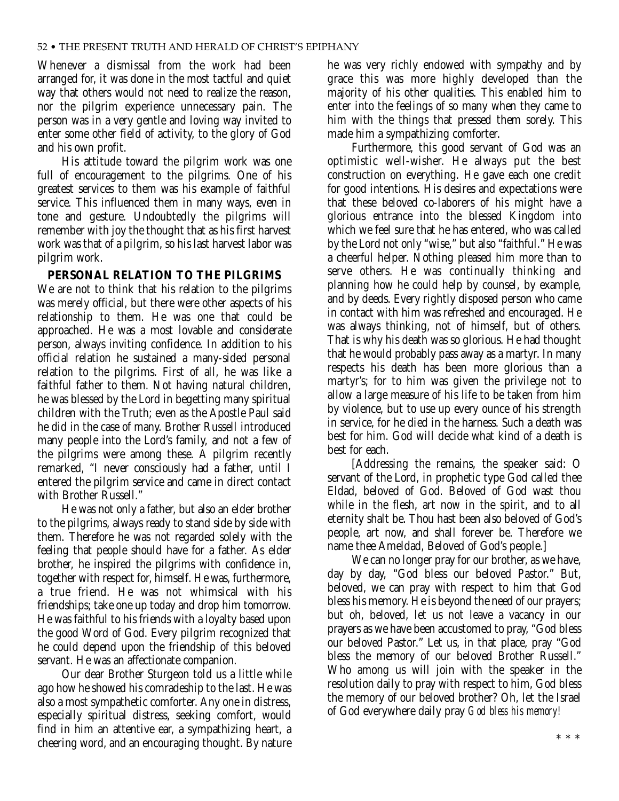Whenever a dismissal from the work had been arranged for, it was done in the most tactful and quiet way that others would not need to realize the reason, nor the pilgrim experience unnecessary pain. The person was in a very gentle and loving way invited to enter some other field of activity, to the glory of God and his own profit.

His attitude toward the pilgrim work was one full of encouragement to the pilgrims. One of his greatest services to them was his example of faithful service. This influenced them in many ways, even in tone and gesture. Undoubtedly the pilgrims will remember with joy the thought that as his first harvest work was that of a pilgrim, so his last harvest labor was pilgrim work.

## **PERSONAL RELATION TO THE PILGRIMS**

We are not to think that his relation to the pilgrims was merely official, but there were other aspects of his relationship to them. He was one that could be approached. He was a most lovable and considerate person, always inviting confidence. In addition to his official relation he sustained a many-sided personal relation to the pilgrims. First of all, he was like a faithful father to them. Not having natural children, he was blessed by the Lord in begetting many spiritual children with the Truth; even as the Apostle Paul said he did in the case of many. Brother Russell introduced many people into the Lord's family, and not a few of the pilgrims were among these. A pilgrim recently remarked, "I never consciously had a father, until I entered the pilgrim service and came in direct contact with Brother Russell."

He was not only a father, but also an elder brother to the pilgrims, always ready to stand side by side with them. Therefore he was not regarded solely with the feeling that people should have for a father. As elder brother, he inspired the pilgrims with confidence in, together with respect for, himself. He was, furthermore, a true friend. He was not whimsical with his friendships; take one up today and drop him tomorrow. He was faithful to his friends with a loyalty based upon the good Word of God. Every pilgrim recognized that he could depend upon the friendship of this beloved servant. He was an affectionate companion.

Our dear Brother Sturgeon told us a little while ago how he showed his comradeship to the last. He was also a most sympathetic comforter. Any one in distress, especially spiritual distress, seeking comfort, would find in him an attentive ear, a sympathizing heart, a cheering word, and an encouraging thought. By nature he was very richly endowed with sympathy and by grace this was more highly developed than the majority of his other qualities. This enabled him to enter into the feelings of so many when they came to him with the things that pressed them sorely. This made him a sympathizing comforter.

Furthermore, this good servant of God was an optimistic well-wisher. He always put the best construction on everything. He gave each one credit for good intentions. His desires and expectations were that these beloved co-laborers of his might have a glorious entrance into the blessed Kingdom into which we feel sure that he has entered, who was called by the Lord not only "wise," but also "faithful." He was a cheerful helper. Nothing pleased him more than to serve others. He was continually thinking and planning how he could help by counsel, by example, and by deeds. Every rightly disposed person who came in contact with him was refreshed and encouraged. He was always thinking, not of himself, but of others. That is why his death was so glorious. He had thought that he would probably pass away as a martyr. In many respects his death has been more glorious than a martyr's; for to him was given the privilege not to allow a large measure of his life to be taken from him by violence, but to use up every ounce of his strength in service, for he died in the harness. Such a death was best for him. God will decide what kind of a death is best for each.

[Addressing the remains, the speaker said: O servant of the Lord, in prophetic type God called thee Eldad, beloved of God. Beloved of God wast thou while in the flesh, art now in the spirit, and to all eternity shalt be. Thou hast been also beloved of God's people, art now, and shall forever be. Therefore we name thee Ameldad, Beloved of God's people.]

We can no longer pray for our brother, as we have, day by day, "God bless our beloved Pastor." But, beloved, we can pray with respect to him that God bless his memory. He is beyond the need of our prayers; but oh, beloved, let us not leave a vacancy in our prayers as we have been accustomed to pray, "God bless our beloved Pastor." Let us, in that place, pray "God bless the memory of our beloved Brother Russell." Who among us will join with the speaker in the resolution daily to pray with respect to him, God bless the memory of our beloved brother? Oh, let the Israel of God everywhere daily pray *God bless his memory!*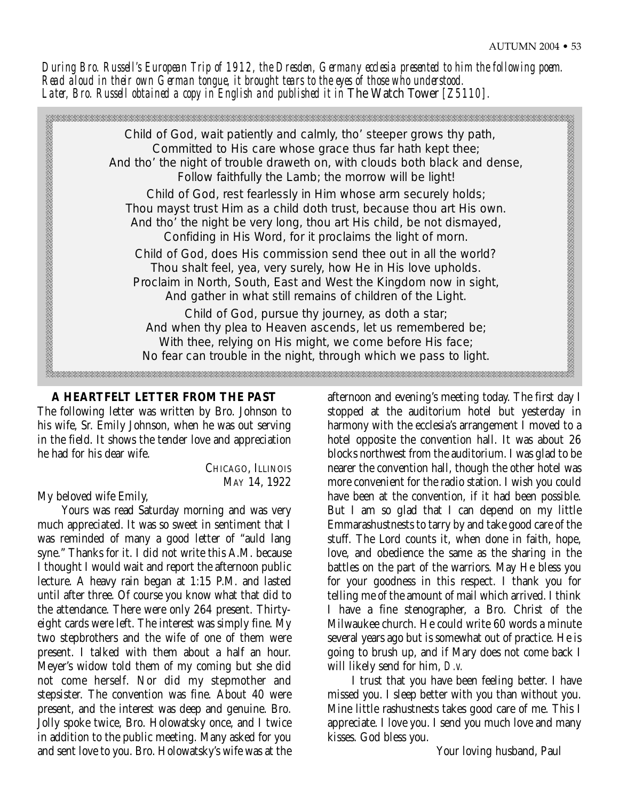*During Bro. Russell's European Trip of 1912, the Dresden, Germany ecclesia presented to him the following poem. Read aloud in their own German tongue, it brought tears to the eyes of those who understood.*  Later, Bro. Russell obtained a copy in English and published it in The Watch Tower [Z5110].



# **A HEARTFELT LETTER FROM THE PAST**

The following letter was written by Bro. Johnson to his wife, Sr. Emily Johnson, when he was out serving in the field. It shows the tender love and appreciation he had for his dear wife.

> CHICAGO, ILLINOIS MAY 14, 1922

# My beloved wife Emily,

Yours was read Saturday morning and was very much appreciated. It was so sweet in sentiment that I was reminded of many a good letter of "auld lang syne." Thanks for it. I did not write this A.M. because I thought I would wait and report the afternoon public lecture. A heavy rain began at 1:15 P.M. and lasted until after three. Of course you know what that did to the attendance. There were only 264 present. Thirtyeight cards were left. The interest was simply fine. My two stepbrothers and the wife of one of them were present. I talked with them about a half an hour. Meyer's widow told them of my coming but she did not come herself. Nor did my stepmother and stepsister. The convention was fine. About 40 were present, and the interest was deep and genuine. Bro. Jolly spoke twice, Bro. Holowatsky once, and I twice in addition to the public meeting. Many asked for you and sent love to you. Bro. Holowatsky's wife was at the

afternoon and evening's meeting today. The first day I stopped at the auditorium hotel but yesterday in harmony with the ecclesia's arrangement I moved to a hotel opposite the convention hall. It was about 26 blocks northwest from the auditorium. I was glad to be nearer the convention hall, though the other hotel was more convenient for the radio station. I wish you could have been at the convention, if it had been possible. But I am so glad that I can depend on my little Emmarashustnests to tarry by and take good care of the stuff. The Lord counts it, when done in faith, hope, love, and obedience the same as the sharing in the battles on the part of the warriors. May He bless you for your goodness in this respect. I thank you for telling me of the amount of mail which arrived. I think I have a fine stenographer, a Bro. Christ of the Milwaukee church. He could write 60 words a minute several years ago but is somewhat out of practice. He is going to brush up, and if Mary does not come back I will likely send for him, *D.v.*

I trust that you have been feeling better. I have missed you. I sleep better with you than without you. Mine little rashustnests takes good care of me. This I appreciate. I love you. I send you much love and many kisses. God bless you.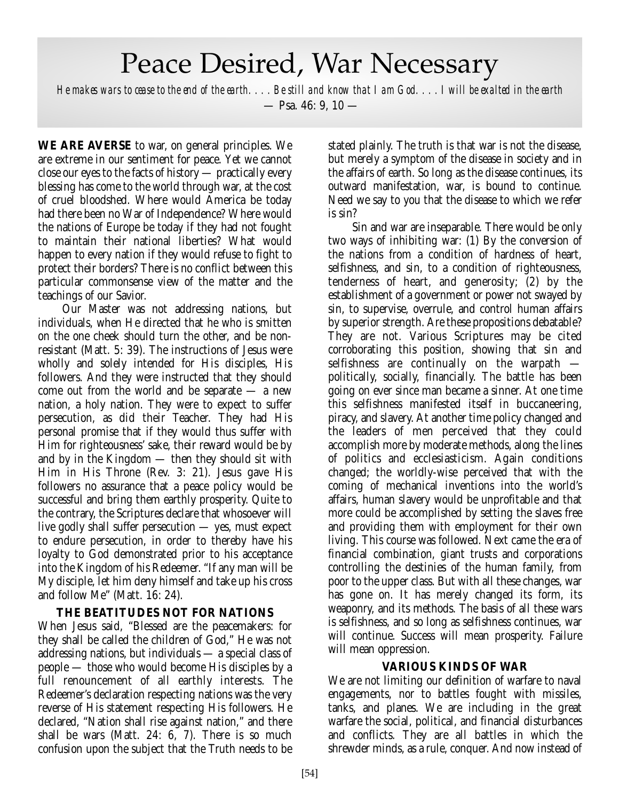# Peace Desired, War Necessary

*He makes wars to cease to the end of the earth. . . . Be still and know that I am God. . . . I will be exalted in the earth*  $-$  Psa, 46: 9, 10  $-$ 

**WE ARE AVERSE** to war, on general principles. We are extreme in our sentiment for peace. Yet we cannot close our eyes to the facts of history — practically every blessing has come to the world through war, at the cost of cruel bloodshed. Where would America be today had there been no War of Independence? Where would the nations of Europe be today if they had not fought to maintain their national liberties? What would happen to every nation if they would refuse to fight to protect their borders? There is no conflict between this particular commonsense view of the matter and the teachings of our Savior.

Our Master was not addressing nations, but individuals, when He directed that he who is smitten on the one cheek should turn the other, and be nonresistant (Matt. 5: 39). The instructions of Jesus were wholly and solely intended for His disciples, His followers. And they were instructed that they should come out from the world and be separate  $-$  a new nation, a holy nation. They were to expect to suffer persecution, as did their Teacher. They had His personal promise that if they would thus suffer with Him for righteousness' sake, their reward would be by and by in the Kingdom — then they should sit with Him in His Throne (Rev. 3: 21). Jesus gave His followers no assurance that a peace policy would be successful and bring them earthly prosperity. Quite to the contrary, the Scriptures declare that whosoever will live godly shall suffer persecution — yes, must expect to endure persecution, in order to thereby have his loyalty to God demonstrated prior to his acceptance into the Kingdom of his Redeemer. "If any man will be My disciple, let him deny himself and take up his cross and follow Me" (Matt. 16: 24).

## **THE BEATITUDES NOT FOR NATIONS**

When Jesus said, "Blessed are the peacemakers: for they shall be called the children of God," He was not addressing nations, but individuals — a special class of people — those who would become His disciples by a full renouncement of all earthly interests. The Redeemer's declaration respecting nations was the very reverse of His statement respecting His followers. He declared, "Nation shall rise against nation," and there shall be wars (Matt. 24: 6, 7). There is so much confusion upon the subject that the Truth needs to be

stated plainly. The truth is that war is not the disease, but merely a symptom of the disease in society and in the affairs of earth. So long as the disease continues, its outward manifestation, war, is bound to continue. Need we say to you that the disease to which we refer is sin?

Sin and war are inseparable. There would be only two ways of inhibiting war: (1) By the conversion of the nations from a condition of hardness of heart, selfishness, and sin, to a condition of righteousness, tenderness of heart, and generosity; (2) by the establishment of a government or power not swayed by sin, to supervise, overrule, and control human affairs by superior strength. Are these propositions debatable? They are not. Various Scriptures may be cited corroborating this position, showing that sin and selfishness are continually on the warpath politically, socially, financially. The battle has been going on ever since man became a sinner. At one time this selfishness manifested itself in buccaneering, piracy, and slavery. At another time policy changed and the leaders of men perceived that they could accomplish more by moderate methods, along the lines of politics and ecclesiasticism. Again conditions changed; the worldly-wise perceived that with the coming of mechanical inventions into the world's affairs, human slavery would be unprofitable and that more could be accomplished by setting the slaves free and providing them with employment for their own living. This course was followed. Next came the era of financial combination, giant trusts and corporations controlling the destinies of the human family, from poor to the upper class. But with all these changes, war has gone on. It has merely changed its form, its weaponry, and its methods. The basis of all these wars is selfishness, and so long as selfishness continues, war will continue. Success will mean prosperity. Failure will mean oppression.

## **VARIOUS KINDS OF WAR**

We are not limiting our definition of warfare to naval engagements, nor to battles fought with missiles, tanks, and planes. We are including in the great warfare the social, political, and financial disturbances and conflicts. They are all battles in which the shrewder minds, as a rule, conquer. And now instead of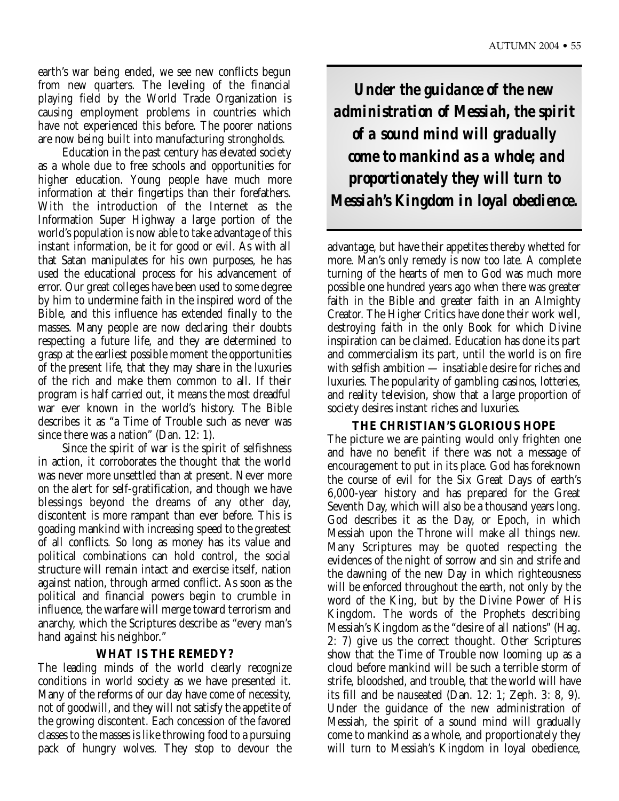earth's war being ended, we see new conflicts begun from new quarters. The leveling of the financial playing field by the World Trade Organization is causing employment problems in countries which have not experienced this before. The poorer nations are now being built into manufacturing strongholds.

Education in the past century has elevated society as a whole due to free schools and opportunities for higher education. Young people have much more information at their fingertips than their forefathers. With the introduction of the Internet as the Information Super Highway a large portion of the world's population is now able to take advantage of this instant information, be it for good or evil. As with all that Satan manipulates for his own purposes, he has used the educational process for his advancement of error. Our great colleges have been used to some degree by him to undermine faith in the inspired word of the Bible, and this influence has extended finally to the masses. Many people are now declaring their doubts respecting a future life, and they are determined to grasp at the earliest possible moment the opportunities of the present life, that they may share in the luxuries of the rich and make them common to all. If their program is half carried out, it means the most dreadful war ever known in the world's history. The Bible describes it as "a Time of Trouble such as never was since there was a nation" (Dan. 12: 1).

Since the spirit of war is the spirit of selfishness in action, it corroborates the thought that the world was never more unsettled than at present. Never more on the alert for self-gratification, and though we have blessings beyond the dreams of any other day, discontent is more rampant than ever before. This is goading mankind with increasing speed to the greatest of all conflicts. So long as money has its value and political combinations can hold control, the social structure will remain intact and exercise itself, nation against nation, through armed conflict. As soon as the political and financial powers begin to crumble in influence, the warfare will merge toward terrorism and anarchy, which the Scriptures describe as "every man's hand against his neighbor."

### **WHAT IS THE REMEDY?**

The leading minds of the world clearly recognize conditions in world society as we have presented it. Many of the reforms of our day have come of necessity, not of goodwill, and they will not satisfy the appetite of the growing discontent. Each concession of the favored classes to the masses is like throwing food to a pursuing pack of hungry wolves. They stop to devour the

*Under the guidance of the new administration of Messiah, the spirit of a sound mind will gradually come to mankind as a whole; and proportionately they will turn to Messiah's Kingdom in loyal obedience.*

advantage, but have their appetites thereby whetted for more. Man's only remedy is now too late. A complete turning of the hearts of men to God was much more possible one hundred years ago when there was greater faith in the Bible and greater faith in an Almighty Creator. The Higher Critics have done their work well, destroying faith in the only Book for which Divine inspiration can be claimed. Education has done its part and commercialism its part, until the world is on fire with selfish ambition — insatiable desire for riches and luxuries. The popularity of gambling casinos, lotteries, and reality television, show that a large proportion of society desires instant riches and luxuries.

### **THE CHRISTIAN'S GLORIOUS HOPE**

The picture we are painting would only frighten one and have no benefit if there was not a message of encouragement to put in its place. God has foreknown the course of evil for the Six Great Days of earth's 6,000-year history and has prepared for the Great Seventh Day, which will also be a thousand years long. God describes it as the Day, or Epoch, in which Messiah upon the Throne will make all things new. Many Scriptures may be quoted respecting the evidences of the night of sorrow and sin and strife and the dawning of the new Day in which righteousness will be enforced throughout the earth, not only by the word of the King, but by the Divine Power of His Kingdom. The words of the Prophets describing Messiah's Kingdom as the "desire of all nations" (Hag. 2: 7) give us the correct thought. Other Scriptures show that the Time of Trouble now looming up as a cloud before mankind will be such a terrible storm of strife, bloodshed, and trouble, that the world will have its fill and be nauseated (Dan. 12: 1; Zeph. 3: 8, 9). Under the guidance of the new administration of Messiah, the spirit of a sound mind will gradually come to mankind as a whole, and proportionately they will turn to Messiah's Kingdom in loyal obedience,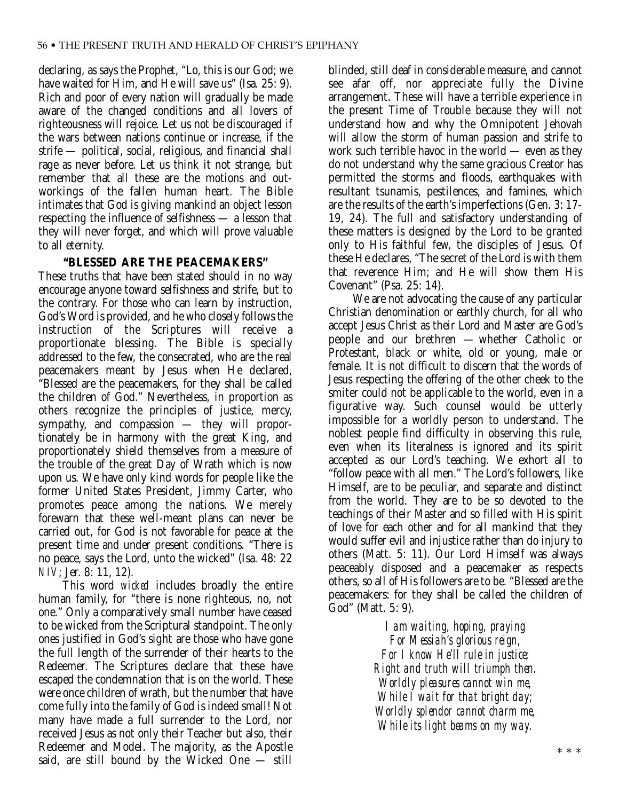declaring, as says the Prophet, "Lo, this is our God; we have waited for Him, and He will save us" (Isa. 25: 9). Rich and poor of every nation will gradually be made aware of the changed conditions and all lovers of righteousness will rejoice. Let us not be discouraged if the wars between nations continue or increase, if the strife — political, social, religious, and financial shall rage as never before. Let us think it not strange, but remember that all these are the motions and outworkings of the fallen human heart. The Bible intimates that God is giving mankind an object lesson respecting the influence of selfishness — a lesson that they will never forget, and which will prove valuable to all eternity.

## **"BLESSED ARE THE PEACEMAKERS"**

These truths that have been stated should in no way encourage anyone toward selfishness and strife, but to the contrary. For those who can learn by instruction, God's Word is provided, and he who closely follows the instruction of the Scriptures will receive a proportionate blessing. The Bible is specially addressed to the few, the consecrated, who are the real peacemakers meant by Jesus when He declared, "Blessed are the peacemakers, for they shall be called the children of God." Nevertheless, in proportion as others recognize the principles of justice, mercy, sympathy, and compassion — they will proportionately be in harmony with the great King, and proportionately shield themselves from a measure of the trouble of the great Day of Wrath which is now upon us. We have only kind words for people like the former United States President, Jimmy Carter, who promotes peace among the nations. We merely forewarn that these well-meant plans can never be carried out, for God is not favorable for peace at the present time and under present conditions. "There is no peace, says the Lord, unto the wicked" (Isa. 48: 22 *NIV*; Jer. 8: 11, 12).

This word *wicked* includes broadly the entire human family, for "there is none righteous, no, not one." Only a comparatively small number have ceased to be wicked from the Scriptural standpoint. The only ones justified in God's sight are those who have gone the full length of the surrender of their hearts to the Redeemer. The Scriptures declare that these have escaped the condemnation that is on the world. These were once children of wrath, but the number that have come fully into the family of God is indeed small! Not many have made a full surrender to the Lord, nor received Jesus as not only their Teacher but also, their Redeemer and Model. The majority, as the Apostle said, are still bound by the Wicked One — still

blinded, still deaf in considerable measure, and cannot see afar off, nor appreciate fully the Divine arrangement. These will have a terrible experience in the present Time of Trouble because they will not understand how and why the Omnipotent Jehovah will allow the storm of human passion and strife to work such terrible havoc in the world — even as they do not understand why the same gracious Creator has permitted the storms and floods, earthquakes with resultant tsunamis, pestilences, and famines, which are the results of the earth's imperfections (Gen. 3: 17- 19, 24). The full and satisfactory understanding of these matters is designed by the Lord to be granted only to His faithful few, the disciples of Jesus. Of these He declares, "The secret of the Lord is with them that reverence Him; and He will show them His Covenant" (Psa. 25: 14).

We are not advocating the cause of any particular Christian denomination or earthly church, for all who accept Jesus Christ as their Lord and Master are God's people and our brethren — whether Catholic or Protestant, black or white, old or young, male or female. It is not difficult to discern that the words of Jesus respecting the offering of the other cheek to the smiter could not be applicable to the world, even in a figurative way. Such counsel would be utterly impossible for a worldly person to understand. The noblest people find difficulty in observing this rule, even when its literalness is ignored and its spirit accepted as our Lord's teaching. We exhort all to "follow peace with all men." The Lord's followers, like Himself, are to be peculiar, and separate and distinct from the world. They are to be so devoted to the teachings of their Master and so filled with His spirit of love for each other and for all mankind that they would suffer evil and injustice rather than do injury to others (Matt. 5: 11). Our Lord Himself was always peaceably disposed and a peacemaker as respects others, so all of His followers are to be. "Blessed are the peacemakers: for they shall be called the children of God" (Matt. 5: 9).

> *I am waiting, hoping, praying For Messiah's glorious reign, For I know He'll rule in justice; Right and truth will triumph then. Worldly pleasures cannot win me, While I wait for that bright day; Worldly splendor cannot charm me, While its light beams on my way.*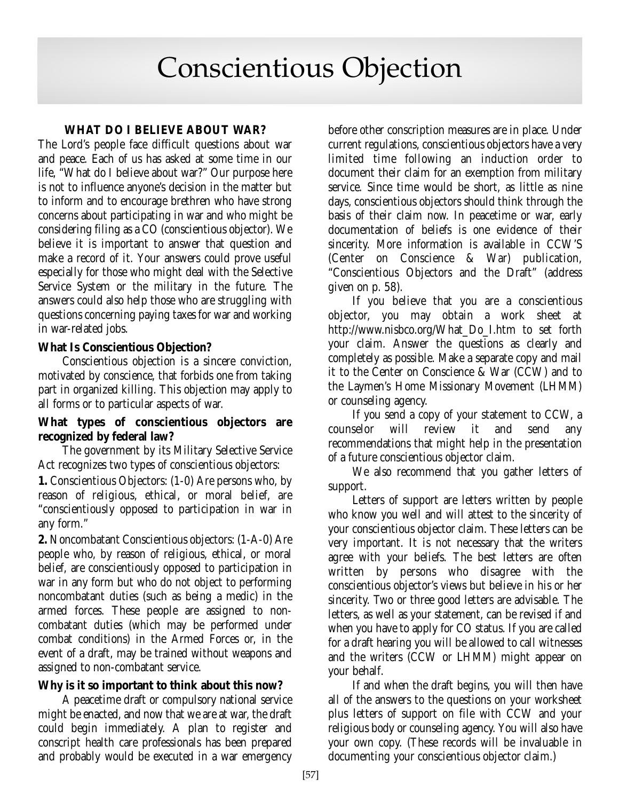# Conscientious Objection

# **WHAT DO I BELIEVE ABOUT WAR?**

The Lord's people face difficult questions about war and peace. Each of us has asked at some time in our life, "What do I believe about war?" Our purpose here is not to influence anyone's decision in the matter but to inform and to encourage brethren who have strong concerns about participating in war and who might be considering filing as a CO (conscientious objector). We believe it is important to answer that question and make a record of it. Your answers could prove useful especially for those who might deal with the Selective Service System or the military in the future. The answers could also help those who are struggling with questions concerning paying taxes for war and working in war-related jobs.

# **What Is Conscientious Objection?**

Conscientious objection is a sincere conviction, motivated by conscience, that forbids one from taking part in organized killing. This objection may apply to all forms or to particular aspects of war.

## **What types of conscientious objectors are recognized by federal law?**

The government by its Military Selective Service Act recognizes two types of conscientious objectors:

**1.** Conscientious Objectors: (1-0) Are persons who, by reason of religious, ethical, or moral belief, are "conscientiously opposed to participation in war in any form."

**2.** Noncombatant Conscientious objectors: (1-A-0) Are people who, by reason of religious, ethical, or moral belief, are conscientiously opposed to participation in war in any form but who do not object to performing noncombatant duties (such as being a medic) in the armed forces. These people are assigned to noncombatant duties (which may be performed under combat conditions) in the Armed Forces or, in the event of a draft, may be trained without weapons and assigned to non-combatant service.

# **Why is it so important to think about this now?**

A peacetime draft or compulsory national service might be enacted, and now that we are at war, the draft could begin immediately. A plan to register and conscript health care professionals has been prepared and probably would be executed in a war emergency

before other conscription measures are in place. Under current regulations, conscientious objectors have a very limited time following an induction order to document their claim for an exemption from military service. Since time would be short, as little as nine days, conscientious objectors should think through the basis of their claim now. In peacetime or war, early documentation of beliefs is one evidence of their sincerity. More information is available in CCW'S (Center on Conscience & War) publication, "Conscientious Objectors and the Draft" (address given on p. 58).

If you believe that you are a conscientious objector, you may obtain a work sheet at http://www.nisbco.org/What\_Do\_I.htm to set forth your claim. Answer the questions as clearly and completely as possible. Make a separate copy and mail it to the Center on Conscience & War (CCW) and to the Laymen's Home Missionary Movement (LHMM) or counseling agency.

If you send a copy of your statement to CCW, a counselor will review it and send any recommendations that might help in the presentation of a future conscientious objector claim.

We also recommend that you gather letters of support.

Letters of support are letters written by people who know you well and will attest to the sincerity of your conscientious objector claim. These letters can be very important. It is not necessary that the writers agree with your beliefs. The best letters are often written by persons who disagree with the conscientious objector's views but believe in his or her sincerity. Two or three good letters are advisable. The letters, as well as your statement, can be revised if and when you have to apply for CO status. If you are called for a draft hearing you will be allowed to call witnesses and the writers (CCW or LHMM) might appear on your behalf.

If and when the draft begins, you will then have all of the answers to the questions on your worksheet plus letters of support on file with CCW and your religious body or counseling agency. You will also have your own copy. (These records will be invaluable in documenting your conscientious objector claim.)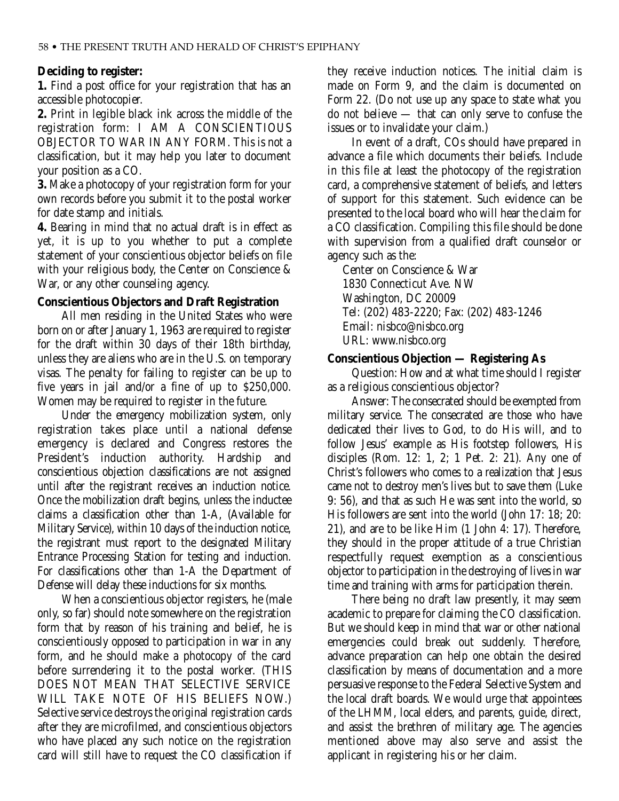### **Deciding to register:**

**1.** Find a post office for your registration that has an accessible photocopier.

**2.** Print in legible black ink across the middle of the registration form: I AM A CONSCIENTIOUS OBJECTOR TO WAR IN ANY FORM. This is not a classification, but it may help you later to document your position as a CO.

**3.** Make a photocopy of your registration form for your own records before you submit it to the postal worker for date stamp and initials.

**4.** Bearing in mind that no actual draft is in effect as yet, it is up to you whether to put a complete statement of your conscientious objector beliefs on file with your religious body, the Center on Conscience & War, or any other counseling agency.

### **Conscientious Objectors and Draft Registration**

All men residing in the United States who were born on or after January 1, 1963 are required to register for the draft within 30 days of their 18th birthday, unless they are aliens who are in the U.S. on temporary visas. The penalty for failing to register can be up to five years in jail and/or a fine of up to \$250,000. Women may be required to register in the future.

Under the emergency mobilization system, only registration takes place until a national defense emergency is declared and Congress restores the President's induction authority. Hardship and conscientious objection classifications are not assigned until after the registrant receives an induction notice. Once the mobilization draft begins, unless the inductee claims a classification other than 1-A, (Available for Military Service), within 10 days of the induction notice, the registrant must report to the designated Military Entrance Processing Station for testing and induction. For classifications other than 1-A the Department of Defense will delay these inductions for six months.

When a conscientious objector registers, he (male only, so far) should note somewhere on the registration form that by reason of his training and belief, he is conscientiously opposed to participation in war in any form, and he should make a photocopy of the card before surrendering it to the postal worker. (THIS DOES NOT MEAN THAT SELECTIVE SERVICE WILL TAKE NOTE OF HIS BELIEFS NOW.) Selective service destroys the original registration cards after they are microfilmed, and conscientious objectors who have placed any such notice on the registration card will still have to request the CO classification if they receive induction notices. The initial claim is made on Form 9, and the claim is documented on Form 22. (Do not use up any space to state what you do not believe — that can only serve to confuse the issues or to invalidate your claim.)

In event of a draft, COs should have prepared in advance a file which documents their beliefs. Include in this file at least the photocopy of the registration card, a comprehensive statement of beliefs, and letters of support for this statement. Such evidence can be presented to the local board who will hear the claim for a CO classification. Compiling this file should be done with supervision from a qualified draft counselor or agency such as the:

Center on Conscience & War 1830 Connecticut Ave. NW Washington, DC 20009 Tel: (202) 483-2220; Fax: (202) 483-1246 Email: nisbco@nisbco.org URL: www.nisbco.org

### **Conscientious Objection — Registering As**

Question: How and at what time should I register as a religious conscientious objector?

Answer: The consecrated should be exempted from military service. The consecrated are those who have dedicated their lives to God, to do His will, and to follow Jesus' example as His footstep followers, His disciples (Rom. 12: 1, 2; 1 Pet. 2: 21). Any one of Christ's followers who comes to a realization that Jesus came not to destroy men's lives but to save them (Luke 9: 56), and that as such He was sent into the world, so His followers are sent into the world (John 17: 18; 20: 21), and are to be like Him (1 John 4: 17). Therefore, they should in the proper attitude of a true Christian respectfully request exemption as a conscientious objector to participation in the destroying of lives in war time and training with arms for participation therein.

There being no draft law presently, it may seem academic to prepare for claiming the CO classification. But we should keep in mind that war or other national emergencies could break out suddenly. Therefore, advance preparation can help one obtain the desired classification by means of documentation and a more persuasive response to the Federal Selective System and the local draft boards. We would urge that appointees of the LHMM, local elders, and parents, guide, direct, and assist the brethren of military age. The agencies mentioned above may also serve and assist the applicant in registering his or her claim.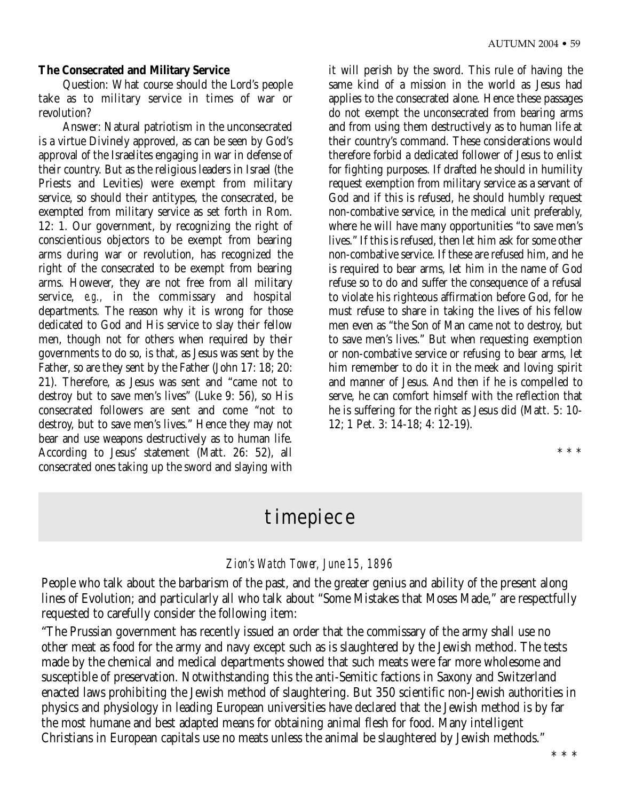### **The Consecrated and Military Service**

Question: What course should the Lord's people take as to military service in times of war or revolution?

Answer: Natural patriotism in the unconsecrated is a virtue Divinely approved, as can be seen by God's approval of the Israelites engaging in war in defense of their country. But as the religious leaders in Israel (the Priests and Levities) were exempt from military service, so should their antitypes, the consecrated, be exempted from military service as set forth in Rom. 12: 1. Our government, by recognizing the right of conscientious objectors to be exempt from bearing arms during war or revolution, has recognized the right of the consecrated to be exempt from bearing arms. However, they are not free from all military service, *e.g.,* in the commissary and hospital departments. The reason why it is wrong for those dedicated to God and His service to slay their fellow men, though not for others when required by their governments to do so, is that, as Jesus was sent by the Father, so are they sent by the Father (John 17: 18; 20: 21). Therefore, as Jesus was sent and "came not to destroy but to save men's lives" (Luke 9: 56), so His consecrated followers are sent and come "not to destroy, but to save men's lives." Hence they may not bear and use weapons destructively as to human life. According to Jesus' statement (Matt. 26: 52), all consecrated ones taking up the sword and slaying with it will perish by the sword. This rule of having the same kind of a mission in the world as Jesus had applies to the consecrated alone. Hence these passages do not exempt the unconsecrated from bearing arms and from using them destructively as to human life at their country's command. These considerations would therefore forbid a dedicated follower of Jesus to enlist for fighting purposes. If drafted he should in humility request exemption from military service as a servant of God and if this is refused, he should humbly request non-combative service, in the medical unit preferably, where he will have many opportunities "to save men's lives." If this is refused, then let him ask for some other non-combative service. If these are refused him, and he is required to bear arms, let him in the name of God refuse so to do and suffer the consequence of a refusal to violate his righteous affirmation before God, for he must refuse to share in taking the lives of his fellow men even as "the Son of Man came not to destroy, but to save men's lives." But when requesting exemption or non-combative service or refusing to bear arms, let him remember to do it in the meek and loving spirit and manner of Jesus. And then if he is compelled to serve, he can comfort himself with the reflection that he is suffering for the right as Jesus did (Matt. 5: 10- 12; 1 Pet. 3: 14-18; 4: 12-19).

\* \* \*

# timepiece

## *Zion's Watch Tower, June 15, 1896*

People who talk about the barbarism of the past, and the greater genius and ability of the present along lines of Evolution; and particularly all who talk about "Some Mistakes that Moses Made," are respectfully requested to carefully consider the following item:

"The Prussian government has recently issued an order that the commissary of the army shall use no other meat as food for the army and navy except such as is slaughtered by the Jewish method. The tests made by the chemical and medical departments showed that such meats were far more wholesome and susceptible of preservation. Notwithstanding this the anti-Semitic factions in Saxony and Switzerland enacted laws prohibiting the Jewish method of slaughtering. But 350 scientific non-Jewish authorities in physics and physiology in leading European universities have declared that the Jewish method is by far the most humane and best adapted means for obtaining animal flesh for food. Many intelligent Christians in European capitals use no meats unless the animal be slaughtered by Jewish methods."

\* \* \*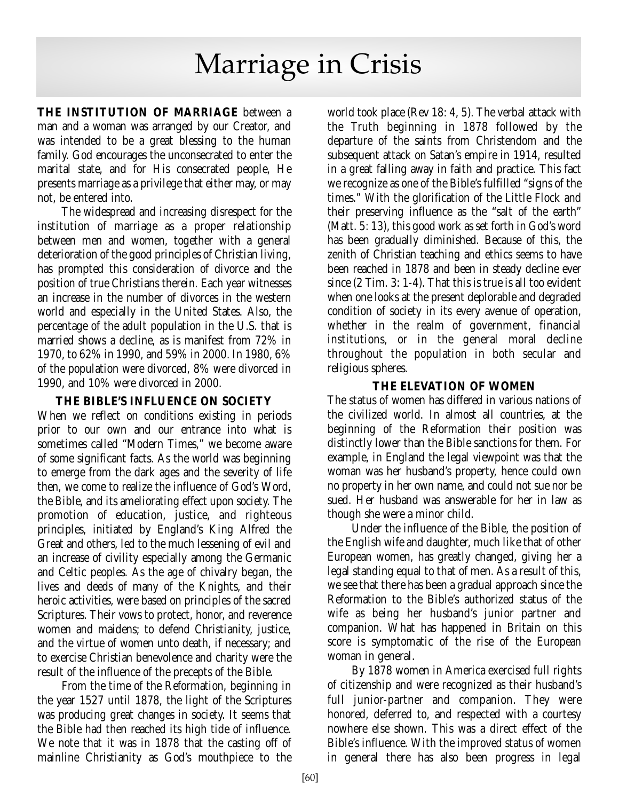# Marriage in Crisis

**THE INSTITUTION OF MARRIAGE** between a man and a woman was arranged by our Creator, and was intended to be a great blessing to the human family. God encourages the unconsecrated to enter the marital state, and for His consecrated people, He presents marriage as a privilege that either may, or may not, be entered into.

The widespread and increasing disrespect for the institution of marriage as a proper relationship between men and women, together with a general deterioration of the good principles of Christian living, has prompted this consideration of divorce and the position of true Christians therein. Each year witnesses an increase in the number of divorces in the western world and especially in the United States. Also, the percentage of the adult population in the U.S. that is married shows a decline, as is manifest from 72% in 1970, to 62% in 1990, and 59% in 2000. In 1980, 6% of the population were divorced, 8% were divorced in 1990, and 10% were divorced in 2000.

## **THE BIBLE'S INFLUENCE ON SOCIETY**

When we reflect on conditions existing in periods prior to our own and our entrance into what is sometimes called "Modern Times," we become aware of some significant facts. As the world was beginning to emerge from the dark ages and the severity of life then, we come to realize the influence of God's Word, the Bible, and its ameliorating effect upon society. The promotion of education, justice, and righteous principles, initiated by England's King Alfred the Great and others, led to the much lessening of evil and an increase of civility especially among the Germanic and Celtic peoples. As the age of chivalry began, the lives and deeds of many of the Knights, and their heroic activities, were based on principles of the sacred Scriptures. Their vows to protect, honor, and reverence women and maidens; to defend Christianity, justice, and the virtue of women unto death, if necessary; and to exercise Christian benevolence and charity were the result of the influence of the precepts of the Bible.

From the time of the Reformation, beginning in the year 1527 until 1878, the light of the Scriptures was producing great changes in society. It seems that the Bible had then reached its high tide of influence. We note that it was in 1878 that the casting off of mainline Christianity as God's mouthpiece to the

world took place (Rev 18: 4, 5). The verbal attack with the Truth beginning in 1878 followed by the departure of the saints from Christendom and the subsequent attack on Satan's empire in 1914, resulted in a great falling away in faith and practice. This fact we recognize as one of the Bible's fulfilled "signs of the times." With the glorification of the Little Flock and their preserving influence as the "salt of the earth" (Matt. 5: 13), this good work as set forth in God's word has been gradually diminished. Because of this, the zenith of Christian teaching and ethics seems to have been reached in 1878 and been in steady decline ever since (2 Tim. 3: 1-4). That this is true is all too evident when one looks at the present deplorable and degraded condition of society in its every avenue of operation, whether in the realm of government, financial institutions, or in the general moral decline throughout the population in both secular and religious spheres.

## **THE ELEVATION OF WOMEN**

The status of women has differed in various nations of the civilized world. In almost all countries, at the beginning of the Reformation their position was distinctly lower than the Bible sanctions for them. For example, in England the legal viewpoint was that the woman was her husband's property, hence could own no property in her own name, and could not sue nor be sued. Her husband was answerable for her in law as though she were a minor child.

Under the influence of the Bible, the position of the English wife and daughter, much like that of other European women, has greatly changed, giving her a legal standing equal to that of men. As a result of this, we see that there has been a gradual approach since the Reformation to the Bible's authorized status of the wife as being her husband's junior partner and companion. What has happened in Britain on this score is symptomatic of the rise of the European woman in general.

By 1878 women in America exercised full rights of citizenship and were recognized as their husband's full junior-partner and companion. They were honored, deferred to, and respected with a courtesy nowhere else shown. This was a direct effect of the Bible's influence. With the improved status of women in general there has also been progress in legal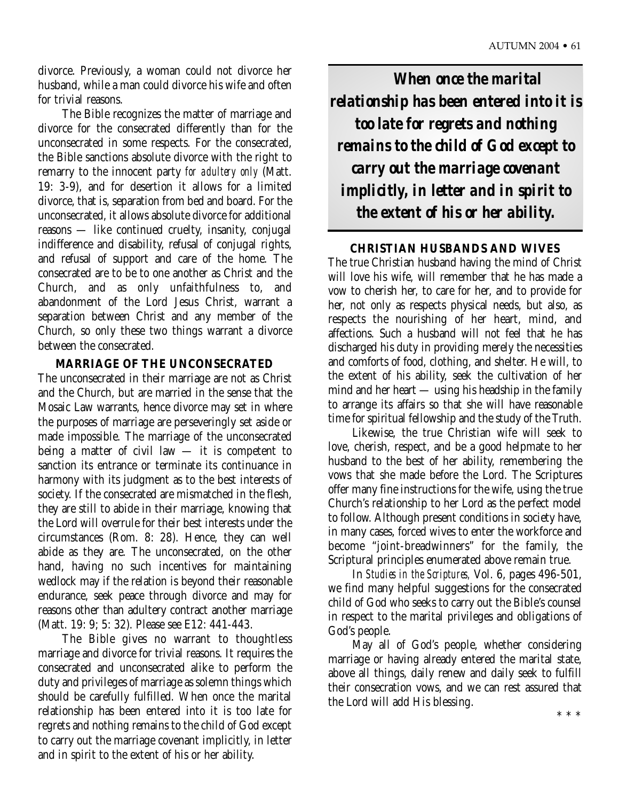divorce. Previously, a woman could not divorce her husband, while a man could divorce his wife and often for trivial reasons.

The Bible recognizes the matter of marriage and divorce for the consecrated differently than for the unconsecrated in some respects. For the consecrated, the Bible sanctions absolute divorce with the right to remarry to the innocent party *for adultery only* (Matt. 19: 3-9), and for desertion it allows for a limited divorce, that is, separation from bed and board. For the unconsecrated, it allows absolute divorce for additional reasons — like continued cruelty, insanity, conjugal indifference and disability, refusal of conjugal rights, and refusal of support and care of the home. The consecrated are to be to one another as Christ and the Church, and as only unfaithfulness to, and abandonment of the Lord Jesus Christ, warrant a separation between Christ and any member of the Church, so only these two things warrant a divorce between the consecrated.

### **MARRIAGE OF THE UNCONSECRATED**

The unconsecrated in their marriage are not as Christ and the Church, but are married in the sense that the Mosaic Law warrants, hence divorce may set in where the purposes of marriage are perseveringly set aside or made impossible. The marriage of the unconsecrated being a matter of civil law — it is competent to sanction its entrance or terminate its continuance in harmony with its judgment as to the best interests of society. If the consecrated are mismatched in the flesh, they are still to abide in their marriage, knowing that the Lord will overrule for their best interests under the circumstances (Rom. 8: 28). Hence, they can well abide as they are. The unconsecrated, on the other hand, having no such incentives for maintaining wedlock may if the relation is beyond their reasonable endurance, seek peace through divorce and may for reasons other than adultery contract another marriage (Matt. 19: 9; 5: 32). Please see E12: 441-443.

The Bible gives no warrant to thoughtless marriage and divorce for trivial reasons. It requires the consecrated and unconsecrated alike to perform the duty and privileges of marriage as solemn things which should be carefully fulfilled. When once the marital relationship has been entered into it is too late for regrets and nothing remains to the child of God except to carry out the marriage covenant implicitly, in letter and in spirit to the extent of his or her ability.

*When once the marital relationship has been entered into it is too late for regrets and nothing remains to the child of God except to carry out the marriage covenant implicitly, in letter and in spirit to the extent of his or her ability.*

### **CHRISTIAN HUSBANDS AND WIVES**

The true Christian husband having the mind of Christ will love his wife, will remember that he has made a vow to cherish her, to care for her, and to provide for her, not only as respects physical needs, but also, as respects the nourishing of her heart, mind, and affections. Such a husband will not feel that he has discharged his duty in providing merely the necessities and comforts of food, clothing, and shelter. He will, to the extent of his ability, seek the cultivation of her mind and her heart — using his headship in the family to arrange its affairs so that she will have reasonable time for spiritual fellowship and the study of the Truth.

Likewise, the true Christian wife will seek to love, cherish, respect, and be a good helpmate to her husband to the best of her ability, remembering the vows that she made before the Lord. The Scriptures offer many fine instructions for the wife, using the true Church's relationship to her Lord as the perfect model to follow. Although present conditions in society have, in many cases, forced wives to enter the workforce and become "joint-breadwinners" for the family, the Scriptural principles enumerated above remain true.

In *Studies in the Scriptures,* Vol. 6, pages 496-501, we find many helpful suggestions for the consecrated child of God who seeks to carry out the Bible's counsel in respect to the marital privileges and obligations of God's people.

May all of God's people, whether considering marriage or having already entered the marital state, above all things, daily renew and daily seek to fulfill their consecration vows, and we can rest assured that the Lord will add His blessing.

\* \* \*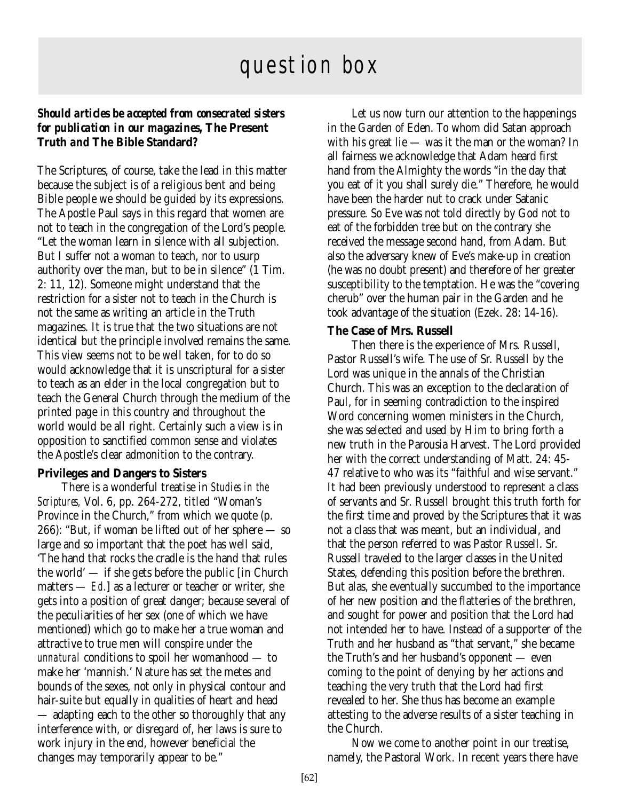# question box

### *Should articles be accepted from consecrated sisters for publication in our magazines,* **The Present Truth** *and* **The Bible Standard***?*

The Scriptures, of course, take the lead in this matter because the subject is of a religious bent and being Bible people we should be guided by its expressions. The Apostle Paul says in this regard that women are not to teach in the congregation of the Lord's people. "Let the woman learn in silence with all subjection. But I suffer not a woman to teach, nor to usurp authority over the man, but to be in silence" (1 Tim. 2: 11, 12). Someone might understand that the restriction for a sister not to teach in the Church is not the same as writing an article in the Truth magazines. It is true that the two situations are not identical but the principle involved remains the same. This view seems not to be well taken, for to do so would acknowledge that it is unscriptural for a sister to teach as an elder in the local congregation but to teach the General Church through the medium of the printed page in this country and throughout the world would be all right. Certainly such a view is in opposition to sanctified common sense and violates the Apostle's clear admonition to the contrary.

### **Privileges and Dangers to Sisters**

There is a wonderful treatise in *Studies in the Scriptures,* Vol. 6, pp. 264-272, titled "Woman's Province in the Church," from which we quote (p. 266): "But, if woman be lifted out of her sphere — so large and so important that the poet has well said, 'The hand that rocks the cradle is the hand that rules the world' — if she gets before the public [in Church matters — *Ed.*] as a lecturer or teacher or writer, she gets into a position of great danger; because several of the peculiarities of her sex (one of which we have mentioned) which go to make her a true woman and attractive to true men will conspire under the *unnatural* conditions to spoil her womanhood — to make her 'mannish.' Nature has set the metes and bounds of the sexes, not only in physical contour and hair-suite but equally in qualities of heart and head — adapting each to the other so thoroughly that any interference with, or disregard of, her laws is sure to work injury in the end, however beneficial the changes may temporarily appear to be."

Let us now turn our attention to the happenings in the Garden of Eden. To whom did Satan approach with his great lie — was it the man or the woman? In all fairness we acknowledge that Adam heard first hand from the Almighty the words "in the day that you eat of it you shall surely die." Therefore, he would have been the harder nut to crack under Satanic pressure. So Eve was not told directly by God not to eat of the forbidden tree but on the contrary she received the message second hand, from Adam. But also the adversary knew of Eve's make-up in creation (he was no doubt present) and therefore of her greater susceptibility to the temptation. He was the "covering cherub" over the human pair in the Garden and he took advantage of the situation (Ezek. 28: 14-16).

### **The Case of Mrs. Russell**

Then there is the experience of Mrs. Russell, Pastor Russell's wife. The use of Sr. Russell by the Lord was unique in the annals of the Christian Church. This was an exception to the declaration of Paul, for in seeming contradiction to the inspired Word concerning women ministers in the Church, she was selected and used by Him to bring forth a new truth in the Parousia Harvest. The Lord provided her with the correct understanding of Matt. 24: 45- 47 relative to who was its "faithful and wise servant." It had been previously understood to represent a class of servants and Sr. Russell brought this truth forth for the first time and proved by the Scriptures that it was not a class that was meant, but an individual, and that the person referred to was Pastor Russell. Sr. Russell traveled to the larger classes in the United States, defending this position before the brethren. But alas, she eventually succumbed to the importance of her new position and the flatteries of the brethren, and sought for power and position that the Lord had not intended her to have. Instead of a supporter of the Truth and her husband as "that servant," she became the Truth's and her husband's opponent — even coming to the point of denying by her actions and teaching the very truth that the Lord had first revealed to her. She thus has become an example attesting to the adverse results of a sister teaching in the Church.

Now we come to another point in our treatise, namely, the Pastoral Work. In recent years there have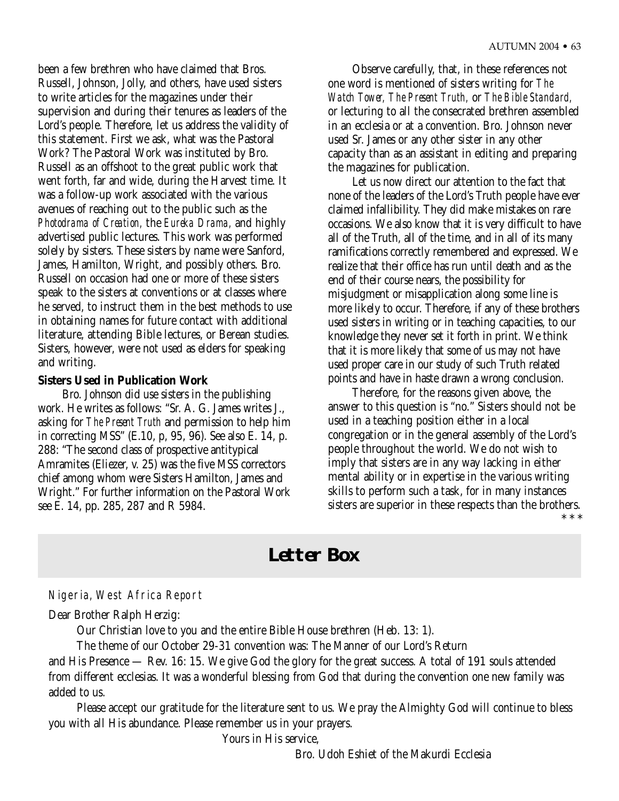been a few brethren who have claimed that Bros. Russell, Johnson, Jolly, and others, have used sisters to write articles for the magazines under their supervision and during their tenures as leaders of the Lord's people. Therefore, let us address the validity of this statement. First we ask, what was the Pastoral Work? The Pastoral Work was instituted by Bro. Russell as an offshoot to the great public work that went forth, far and wide, during the Harvest time. It was a follow-up work associated with the various avenues of reaching out to the public such as the *Photodrama of Creation,* the *Eureka Drama,* and highly advertised public lectures. This work was performed solely by sisters. These sisters by name were Sanford, James, Hamilton, Wright, and possibly others. Bro. Russell on occasion had one or more of these sisters speak to the sisters at conventions or at classes where he served, to instruct them in the best methods to use in obtaining names for future contact with additional literature, attending Bible lectures, or Berean studies. Sisters, however, were not used as elders for speaking and writing.

### **Sisters Used in Publication Work**

Bro. Johnson did use sisters in the publishing work. He writes as follows: "Sr. A. G. James writes J., asking for *The Present Truth* and permission to help him in correcting MSS" (E.10, p, 95, 96). See also E. 14, p. 288: "The second class of prospective antitypical Amramites (Eliezer, v. 25) was the five MSS correctors chief among whom were Sisters Hamilton, James and Wright." For further information on the Pastoral Work see E. 14, pp. 285, 287 and R 5984.

Observe carefully, that, in these references not one word is mentioned of sisters writing for *The Watch Tower, The Present Truth,* or *The Bible Standard,* or lecturing to all the consecrated brethren assembled in an ecclesia or at a convention. Bro. Johnson never used Sr. James or any other sister in any other capacity than as an assistant in editing and preparing the magazines for publication.

Let us now direct our attention to the fact that none of the leaders of the Lord's Truth people have ever claimed infallibility. They did make mistakes on rare occasions. We also know that it is very difficult to have all of the Truth, all of the time, and in all of its many ramifications correctly remembered and expressed. We realize that their office has run until death and as the end of their course nears, the possibility for misjudgment or misapplication along some line is more likely to occur. Therefore, if any of these brothers used sisters in writing or in teaching capacities, to our knowledge they never set it forth in print. We think that it is more likely that some of us may not have used proper care in our study of such Truth related points and have in haste drawn a wrong conclusion.

Therefore, for the reasons given above, the answer to this question is "no." Sisters should not be used in a teaching position either in a local congregation or in the general assembly of the Lord's people throughout the world. We do not wish to imply that sisters are in any way lacking in either mental ability or in expertise in the various writing skills to perform such a task, for in many instances sisters are superior in these respects than the brothers. \* \* \*

# **Letter Box**

### Nigeria, West Africa Report

Dear Brother Ralph Herzig:

Our Christian love to you and the entire Bible House brethren (Heb. 13: 1).

The theme of our October 29-31 convention was: The Manner of our Lord's Return

and His Presence — Rev. 16: 15. We give God the glory for the great success. A total of 191 souls attended from different ecclesias. It was a wonderful blessing from God that during the convention one new family was added to us.

Please accept our gratitude for the literature sent to us. We pray the Almighty God will continue to bless you with all His abundance. Please remember us in your prayers.

Yours in His service,

Bro. Udoh Eshiet of the Makurdi Ecclesia